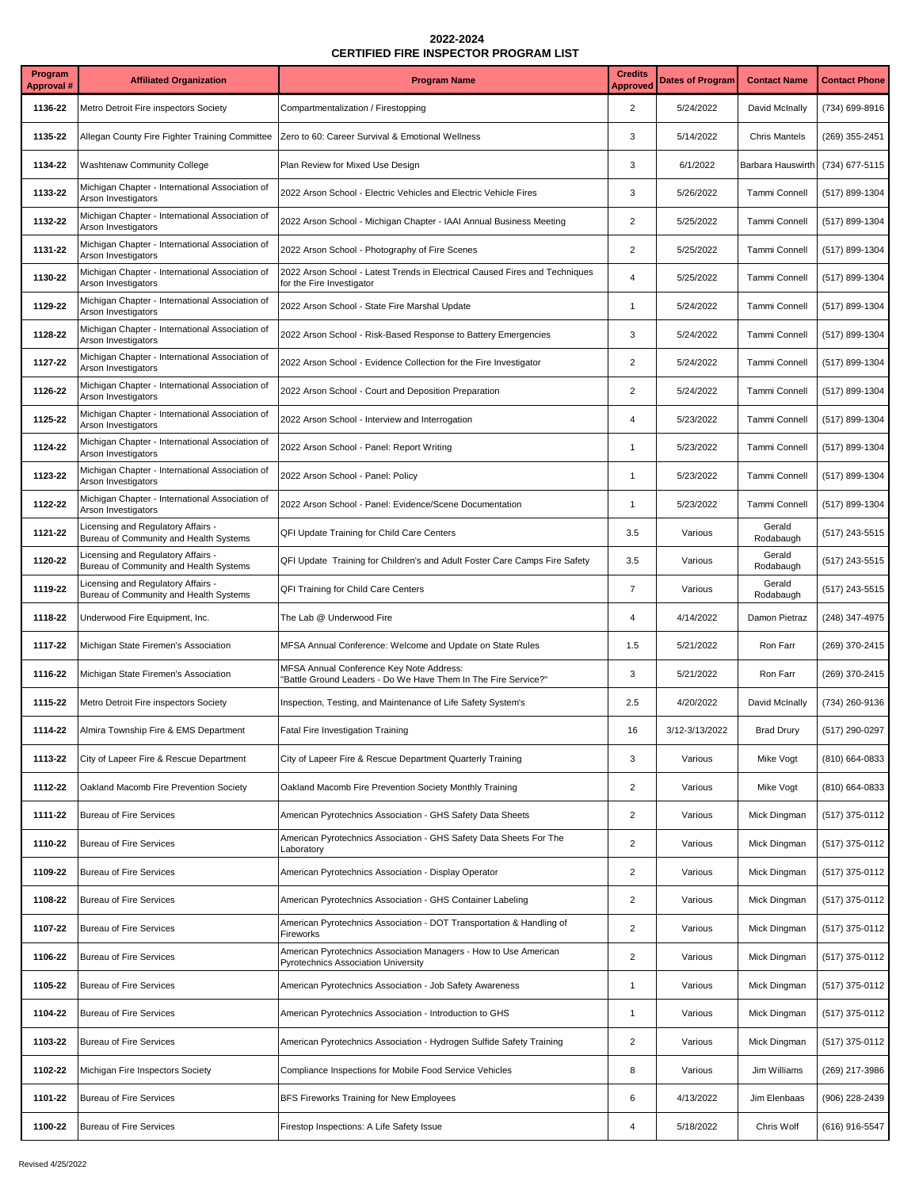| Program<br><b>Approval #</b> | <b>Affiliated Organization</b>                                               | <b>Program Name</b>                                                                                        | <b>Credits</b><br><b>Approved</b> | <b>Dates of Program</b> | <b>Contact Name</b>  | <b>Contact Phone</b> |
|------------------------------|------------------------------------------------------------------------------|------------------------------------------------------------------------------------------------------------|-----------------------------------|-------------------------|----------------------|----------------------|
| 1136-22                      | Metro Detroit Fire inspectors Society                                        | Compartmentalization / Firestopping                                                                        | $\overline{\mathbf{c}}$           | 5/24/2022               | David McInally       | (734) 699-8916       |
| 1135-22                      | Allegan County Fire Fighter Training Committee                               | Zero to 60: Career Survival & Emotional Wellness                                                           | 3                                 | 5/14/2022               | <b>Chris Mantels</b> | (269) 355-2451       |
| 1134-22                      | <b>Washtenaw Community College</b>                                           | Plan Review for Mixed Use Design                                                                           | 3                                 | 6/1/2022                | Barbara Hauswirth    | (734) 677-5115       |
| 1133-22                      | Michigan Chapter - International Association of<br>Arson Investigators       | 2022 Arson School - Electric Vehicles and Electric Vehicle Fires                                           | 3                                 | 5/26/2022               | Tammi Connell        | (517) 899-1304       |
| 1132-22                      | Michigan Chapter - International Association of<br>Arson Investigators       | 2022 Arson School - Michigan Chapter - IAAI Annual Business Meeting                                        | $\overline{2}$                    | 5/25/2022               | Tammi Connell        | (517) 899-1304       |
| 1131-22                      | Michigan Chapter - International Association of<br>Arson Investigators       | 2022 Arson School - Photography of Fire Scenes                                                             | $\overline{\mathbf{c}}$           | 5/25/2022               | Tammi Connell        | (517) 899-1304       |
| 1130-22                      | Michigan Chapter - International Association of<br>Arson Investigators       | 2022 Arson School - Latest Trends in Electrical Caused Fires and Techniques<br>for the Fire Investigator   | $\overline{4}$                    | 5/25/2022               | Tammi Connell        | (517) 899-1304       |
| 1129-22                      | Michigan Chapter - International Association of<br>Arson Investigators       | 2022 Arson School - State Fire Marshal Update                                                              | $\mathbf{1}$                      | 5/24/2022               | Tammi Connell        | (517) 899-1304       |
| 1128-22                      | Michigan Chapter - International Association of<br>Arson Investigators       | 2022 Arson School - Risk-Based Response to Battery Emergencies                                             | 3                                 | 5/24/2022               | Tammi Connell        | (517) 899-1304       |
| 1127-22                      | Michigan Chapter - International Association of<br>Arson Investigators       | 2022 Arson School - Evidence Collection for the Fire Investigator                                          | $\overline{2}$                    | 5/24/2022               | Tammi Connell        | (517) 899-1304       |
| 1126-22                      | Michigan Chapter - International Association of<br>Arson Investigators       | 2022 Arson School - Court and Deposition Preparation                                                       | $\overline{2}$                    | 5/24/2022               | Tammi Connell        | (517) 899-1304       |
| 1125-22                      | Michigan Chapter - International Association of<br>Arson Investigators       | 2022 Arson School - Interview and Interrogation                                                            | $\overline{\mathbf{4}}$           | 5/23/2022               | Tammi Connell        | (517) 899-1304       |
| 1124-22                      | Michigan Chapter - International Association of<br>Arson Investigators       | 2022 Arson School - Panel: Report Writing                                                                  | $\mathbf{1}$                      | 5/23/2022               | Tammi Connell        | (517) 899-1304       |
| 1123-22                      | Michigan Chapter - International Association of<br>Arson Investigators       | 2022 Arson School - Panel: Policy                                                                          | $\mathbf{1}$                      | 5/23/2022               | Tammi Connell        | (517) 899-1304       |
| 1122-22                      | Michigan Chapter - International Association of<br>Arson Investigators       | 2022 Arson School - Panel: Evidence/Scene Documentation                                                    | $\mathbf{1}$                      | 5/23/2022               | Tammi Connell        | (517) 899-1304       |
| 1121-22                      | Licensing and Regulatory Affairs -<br>Bureau of Community and Health Systems | QFI Update Training for Child Care Centers                                                                 | 3.5                               | Various                 | Gerald<br>Rodabaugh  | (517) 243-5515       |
| 1120-22                      | Licensing and Regulatory Affairs -<br>Bureau of Community and Health Systems | QFI Update Training for Children's and Adult Foster Care Camps Fire Safety                                 | 3.5                               | Various                 | Gerald<br>Rodabaugh  | (517) 243-5515       |
| 1119-22                      | Licensing and Regulatory Affairs -<br>Bureau of Community and Health Systems | QFI Training for Child Care Centers                                                                        | $\overline{7}$                    | Various                 | Gerald<br>Rodabaugh  | (517) 243-5515       |
| 1118-22                      | Underwood Fire Equipment, Inc.                                               | The Lab @ Underwood Fire                                                                                   | 4                                 | 4/14/2022               | Damon Pietraz        | (248) 347-4975       |
| 1117-22                      | Michigan State Firemen's Association                                         | MFSA Annual Conference: Welcome and Update on State Rules                                                  | 1.5                               | 5/21/2022               | Ron Farr             | (269) 370-2415       |
| 1116-22                      | Michigan State Firemen's Association                                         | MFSA Annual Conference Key Note Address:<br>"Battle Ground Leaders - Do We Have Them In The Fire Service?" | 3                                 | 5/21/2022               | Ron Farr             | (269) 370-2415       |
| 1115-22                      | Metro Detroit Fire inspectors Society                                        | Inspection, Testing, and Maintenance of Life Safety System's                                               | 2.5                               | 4/20/2022               | David McInally       | (734) 260-9136       |
| 1114-22                      | Almira Township Fire & EMS Department                                        | Fatal Fire Investigation Training                                                                          | 16                                | 3/12-3/13/2022          | <b>Brad Drury</b>    | (517) 290-0297       |
| 1113-22                      | City of Lapeer Fire & Rescue Department                                      | City of Lapeer Fire & Rescue Department Quarterly Training                                                 | 3                                 | Various                 | Mike Vogt            | (810) 664-0833       |
| 1112-22                      | Oakland Macomb Fire Prevention Society                                       | Oakland Macomb Fire Prevention Society Monthly Training                                                    | $\sqrt{2}$                        | Various                 | Mike Vogt            | (810) 664-0833       |
| 1111-22                      | <b>Bureau of Fire Services</b>                                               | American Pyrotechnics Association - GHS Safety Data Sheets                                                 | $\overline{\mathbf{c}}$           | Various                 | Mick Dingman         | (517) 375-0112       |
| 1110-22                      | <b>Bureau of Fire Services</b>                                               | American Pyrotechnics Association - GHS Safety Data Sheets For The<br>Laboratory                           | $\mathbf 2$                       | Various                 | Mick Dingman         | (517) 375-0112       |
| 1109-22                      | <b>Bureau of Fire Services</b>                                               | American Pyrotechnics Association - Display Operator                                                       | $\overline{c}$                    | Various                 | Mick Dingman         | (517) 375-0112       |
| 1108-22                      | <b>Bureau of Fire Services</b>                                               | American Pyrotechnics Association - GHS Container Labeling                                                 | $\sqrt{2}$                        | Various                 | Mick Dingman         | (517) 375-0112       |
| 1107-22                      | <b>Bureau of Fire Services</b>                                               | American Pyrotechnics Association - DOT Transportation & Handling of<br>Fireworks                          | $\sqrt{2}$                        | Various                 | Mick Dingman         | (517) 375-0112       |
| 1106-22                      | <b>Bureau of Fire Services</b>                                               | American Pyrotechnics Association Managers - How to Use American<br>Pyrotechnics Association University    | $\overline{c}$                    | Various                 | Mick Dingman         | (517) 375-0112       |
| 1105-22                      | <b>Bureau of Fire Services</b>                                               | American Pyrotechnics Association - Job Safety Awareness                                                   | $\mathbf{1}$                      | Various                 | Mick Dingman         | (517) 375-0112       |
| 1104-22                      | <b>Bureau of Fire Services</b>                                               | American Pyrotechnics Association - Introduction to GHS                                                    | $\mathbf{1}$                      | Various                 | Mick Dingman         | (517) 375-0112       |
| 1103-22                      | <b>Bureau of Fire Services</b>                                               | American Pyrotechnics Association - Hydrogen Sulfide Safety Training                                       | $\overline{\mathbf{c}}$           | Various                 | Mick Dingman         | (517) 375-0112       |
| 1102-22                      | Michigan Fire Inspectors Society                                             | Compliance Inspections for Mobile Food Service Vehicles                                                    | 8                                 | Various                 | Jim Williams         | (269) 217-3986       |
| 1101-22                      | <b>Bureau of Fire Services</b>                                               | BFS Fireworks Training for New Employees                                                                   | 6                                 | 4/13/2022               | Jim Elenbaas         | (906) 228-2439       |
| 1100-22                      | <b>Bureau of Fire Services</b>                                               | Firestop Inspections: A Life Safety Issue                                                                  | $\overline{\mathbf{4}}$           | 5/18/2022               | Chris Wolf           | (616) 916-5547       |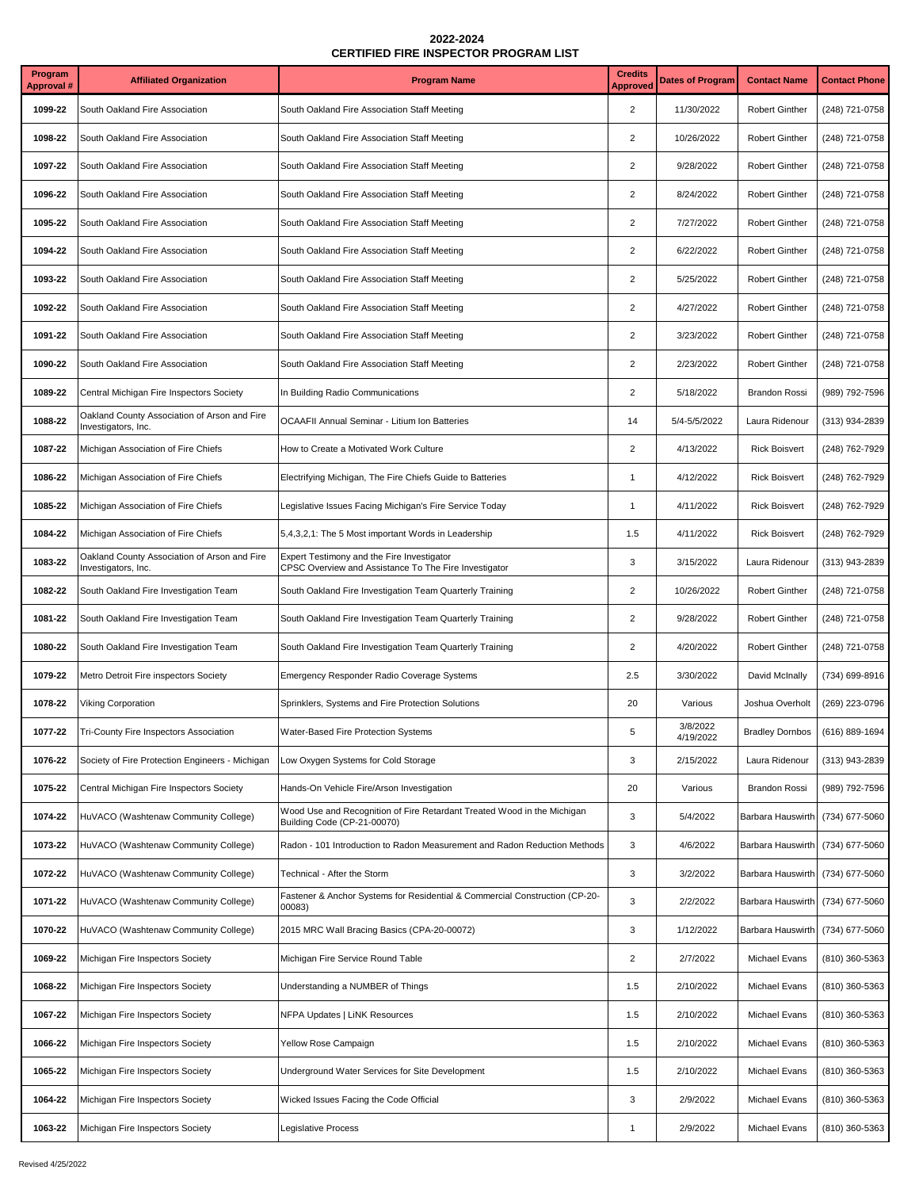| Program<br>Approval # | <b>Affiliated Organization</b>                                      | <b>Program Name</b>                                                                                    | <b>Credits</b><br><b>Approved</b> | <b>Dates of Program</b> | <b>Contact Name</b>    | <b>Contact Phone</b> |
|-----------------------|---------------------------------------------------------------------|--------------------------------------------------------------------------------------------------------|-----------------------------------|-------------------------|------------------------|----------------------|
| 1099-22               | South Oakland Fire Association                                      | South Oakland Fire Association Staff Meeting                                                           | $\overline{\mathbf{c}}$           | 11/30/2022              | <b>Robert Ginther</b>  | (248) 721-0758       |
| 1098-22               | South Oakland Fire Association                                      | South Oakland Fire Association Staff Meeting                                                           | $\overline{2}$                    | 10/26/2022              | <b>Robert Ginther</b>  | (248) 721-0758       |
| 1097-22               | South Oakland Fire Association                                      | South Oakland Fire Association Staff Meeting                                                           | $\overline{\mathbf{c}}$           | 9/28/2022               | <b>Robert Ginther</b>  | (248) 721-0758       |
| 1096-22               | South Oakland Fire Association                                      | South Oakland Fire Association Staff Meeting                                                           | $\overline{2}$                    | 8/24/2022               | <b>Robert Ginther</b>  | (248) 721-0758       |
| 1095-22               | South Oakland Fire Association                                      | South Oakland Fire Association Staff Meeting                                                           | $\overline{2}$                    | 7/27/2022               | Robert Ginther         | (248) 721-0758       |
| 1094-22               | South Oakland Fire Association                                      | South Oakland Fire Association Staff Meeting                                                           | $\sqrt{2}$                        | 6/22/2022               | <b>Robert Ginther</b>  | (248) 721-0758       |
| 1093-22               | South Oakland Fire Association                                      | South Oakland Fire Association Staff Meeting                                                           | $\overline{2}$                    | 5/25/2022               | Robert Ginther         | (248) 721-0758       |
| 1092-22               | South Oakland Fire Association                                      | South Oakland Fire Association Staff Meeting                                                           | $\mathbf 2$                       | 4/27/2022               | <b>Robert Ginther</b>  | (248) 721-0758       |
| 1091-22               | South Oakland Fire Association                                      | South Oakland Fire Association Staff Meeting                                                           | $\overline{2}$                    | 3/23/2022               | <b>Robert Ginther</b>  | (248) 721-0758       |
| 1090-22               | South Oakland Fire Association                                      | South Oakland Fire Association Staff Meeting                                                           | $\overline{\mathbf{c}}$           | 2/23/2022               | <b>Robert Ginther</b>  | (248) 721-0758       |
| 1089-22               | Central Michigan Fire Inspectors Society                            | In Building Radio Communications                                                                       | $\overline{2}$                    | 5/18/2022               | <b>Brandon Rossi</b>   | (989) 792-7596       |
| 1088-22               | Oakland County Association of Arson and Fire<br>Investigators, Inc. | OCAAFII Annual Seminar - Litium Ion Batteries                                                          | 14                                | 5/4-5/5/2022            | Laura Ridenour         | (313) 934-2839       |
| 1087-22               | Michigan Association of Fire Chiefs                                 | How to Create a Motivated Work Culture                                                                 | $\sqrt{2}$                        | 4/13/2022               | <b>Rick Boisvert</b>   | (248) 762-7929       |
| 1086-22               | Michigan Association of Fire Chiefs                                 | Electrifying Michigan, The Fire Chiefs Guide to Batteries                                              | $\mathbf{1}$                      | 4/12/2022               | <b>Rick Boisvert</b>   | (248) 762-7929       |
| 1085-22               | Michigan Association of Fire Chiefs                                 | Legislative Issues Facing Michigan's Fire Service Today                                                | $\mathbf{1}$                      | 4/11/2022               | <b>Rick Boisvert</b>   | (248) 762-7929       |
| 1084-22               | Michigan Association of Fire Chiefs                                 | 5,4,3,2,1: The 5 Most important Words in Leadership                                                    | 1.5                               | 4/11/2022               | <b>Rick Boisvert</b>   | (248) 762-7929       |
| 1083-22               | Oakland County Association of Arson and Fire<br>Investigators, Inc. | Expert Testimony and the Fire Investigator<br>CPSC Overview and Assistance To The Fire Investigator    | 3                                 | 3/15/2022               | Laura Ridenour         | (313) 943-2839       |
| 1082-22               | South Oakland Fire Investigation Team                               | South Oakland Fire Investigation Team Quarterly Training                                               | $\mathbf 2$                       | 10/26/2022              | Robert Ginther         | (248) 721-0758       |
| 1081-22               | South Oakland Fire Investigation Team                               | South Oakland Fire Investigation Team Quarterly Training                                               | $\overline{\mathbf{c}}$           | 9/28/2022               | Robert Ginther         | (248) 721-0758       |
| 1080-22               | South Oakland Fire Investigation Team                               | South Oakland Fire Investigation Team Quarterly Training                                               | $\sqrt{2}$                        | 4/20/2022               | Robert Ginther         | (248) 721-0758       |
| 1079-22               | Metro Detroit Fire inspectors Society                               | Emergency Responder Radio Coverage Systems                                                             | 2.5                               | 3/30/2022               | David McInally         | (734) 699-8916       |
| 1078-22               | <b>Viking Corporation</b>                                           | Sprinklers, Systems and Fire Protection Solutions                                                      | 20                                | Various                 | Joshua Overholt        | (269) 223-0796       |
| 1077-22               | Tri-County Fire Inspectors Association                              | Water-Based Fire Protection Systems                                                                    | 5                                 | 3/8/2022<br>4/19/2022   | <b>Bradley Dornbos</b> | (616) 889-1694       |
| 1076-22               | Society of Fire Protection Engineers - Michigan                     | Low Oxygen Systems for Cold Storage                                                                    | 3                                 | 2/15/2022               | Laura Ridenour         | (313) 943-2839       |
| 1075-22               | Central Michigan Fire Inspectors Society                            | Hands-On Vehicle Fire/Arson Investigation                                                              | 20                                | Various                 | <b>Brandon Rossi</b>   | (989) 792-7596       |
| 1074-22               | HuVACO (Washtenaw Community College)                                | Wood Use and Recognition of Fire Retardant Treated Wood in the Michigan<br>Building Code (CP-21-00070) | 3                                 | 5/4/2022                | Barbara Hauswirth      | (734) 677-5060       |
| 1073-22               | HuVACO (Washtenaw Community College)                                | Radon - 101 Introduction to Radon Measurement and Radon Reduction Methods                              | 3                                 | 4/6/2022                | Barbara Hauswirth      | (734) 677-5060       |
| 1072-22               | HuVACO (Washtenaw Community College)                                | Technical - After the Storm                                                                            | 3                                 | 3/2/2022                | Barbara Hauswirth      | (734) 677-5060       |
| 1071-22               | HuVACO (Washtenaw Community College)                                | Fastener & Anchor Systems for Residential & Commercial Construction (CP-20-<br>00083)                  | 3                                 | 2/2/2022                | Barbara Hauswirth      | (734) 677-5060       |
| 1070-22               | HuVACO (Washtenaw Community College)                                | 2015 MRC Wall Bracing Basics (CPA-20-00072)                                                            | 3                                 | 1/12/2022               | Barbara Hauswirth      | (734) 677-5060       |
| 1069-22               | Michigan Fire Inspectors Society                                    | Michigan Fire Service Round Table                                                                      | $\overline{\mathbf{c}}$           | 2/7/2022                | Michael Evans          | (810) 360-5363       |
| 1068-22               | Michigan Fire Inspectors Society                                    | Understanding a NUMBER of Things                                                                       | 1.5                               | 2/10/2022               | Michael Evans          | (810) 360-5363       |
| 1067-22               | Michigan Fire Inspectors Society                                    | NFPA Updates   LiNK Resources                                                                          | 1.5                               | 2/10/2022               | Michael Evans          | (810) 360-5363       |
| 1066-22               | Michigan Fire Inspectors Society                                    | Yellow Rose Campaign                                                                                   | 1.5                               | 2/10/2022               | Michael Evans          | (810) 360-5363       |
| 1065-22               | Michigan Fire Inspectors Society                                    | Underground Water Services for Site Development                                                        | 1.5                               | 2/10/2022               | Michael Evans          | (810) 360-5363       |
| 1064-22               | Michigan Fire Inspectors Society                                    | Wicked Issues Facing the Code Official                                                                 | 3                                 | 2/9/2022                | Michael Evans          | (810) 360-5363       |
| 1063-22               | Michigan Fire Inspectors Society                                    | Legislative Process                                                                                    | $\mathbf{1}$                      | 2/9/2022                | Michael Evans          | (810) 360-5363       |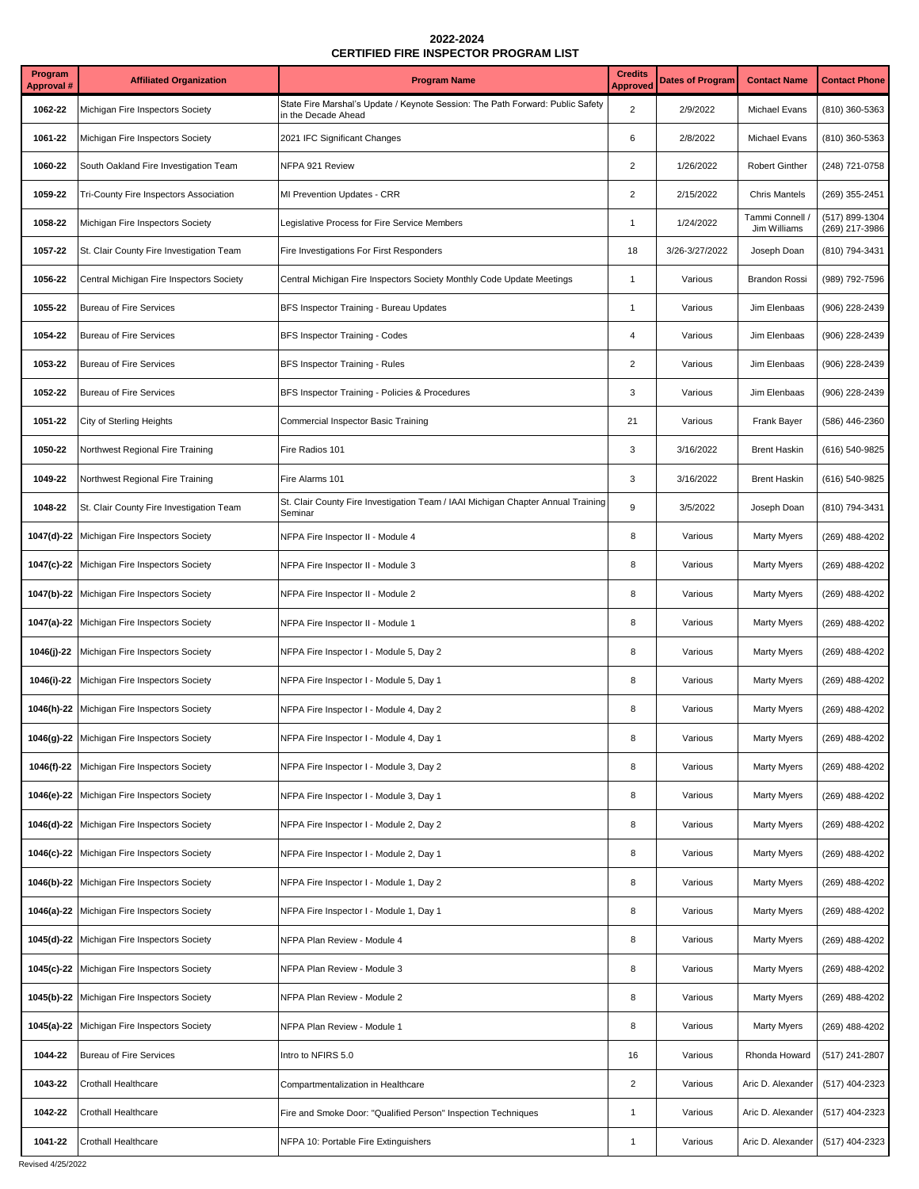| Program<br><b>Approval #</b> | <b>Affiliated Organization</b>              | <b>Program Name</b>                                                                                   | <b>Credits</b><br>Approved | <b>Dates of Program</b> | <b>Contact Name</b>           | <b>Contact Phone</b>             |
|------------------------------|---------------------------------------------|-------------------------------------------------------------------------------------------------------|----------------------------|-------------------------|-------------------------------|----------------------------------|
| 1062-22                      | Michigan Fire Inspectors Society            | State Fire Marshal's Update / Keynote Session: The Path Forward: Public Safety<br>in the Decade Ahead | $\overline{2}$             | 2/9/2022                | Michael Evans                 | (810) 360-5363                   |
| 1061-22                      | Michigan Fire Inspectors Society            | 2021 IFC Significant Changes                                                                          | 6                          | 2/8/2022                | Michael Evans                 | (810) 360-5363                   |
| 1060-22                      | South Oakland Fire Investigation Team       | NFPA 921 Review                                                                                       | $\overline{2}$             | 1/26/2022               | Robert Ginther                | (248) 721-0758                   |
| 1059-22                      | Tri-County Fire Inspectors Association      | MI Prevention Updates - CRR                                                                           | $\sqrt{2}$                 | 2/15/2022               | <b>Chris Mantels</b>          | (269) 355-2451                   |
| 1058-22                      | Michigan Fire Inspectors Society            | Legislative Process for Fire Service Members                                                          | 1                          | 1/24/2022               | Tammi Connell<br>Jim Williams | (517) 899-1304<br>(269) 217-3986 |
| 1057-22                      | St. Clair County Fire Investigation Team    | Fire Investigations For First Responders                                                              | 18                         | 3/26-3/27/2022          | Joseph Doan                   | (810) 794-3431                   |
| 1056-22                      | Central Michigan Fire Inspectors Society    | Central Michigan Fire Inspectors Society Monthly Code Update Meetings                                 | $\mathbf{1}$               | Various                 | <b>Brandon Rossi</b>          | (989) 792-7596                   |
| 1055-22                      | <b>Bureau of Fire Services</b>              | BFS Inspector Training - Bureau Updates                                                               | $\mathbf{1}$               | Various                 | Jim Elenbaas                  | (906) 228-2439                   |
| 1054-22                      | <b>Bureau of Fire Services</b>              | BFS Inspector Training - Codes                                                                        | 4                          | Various                 | Jim Elenbaas                  | (906) 228-2439                   |
| 1053-22                      | <b>Bureau of Fire Services</b>              | BFS Inspector Training - Rules                                                                        | $\overline{c}$             | Various                 | Jim Elenbaas                  | (906) 228-2439                   |
| 1052-22                      | <b>Bureau of Fire Services</b>              | BFS Inspector Training - Policies & Procedures                                                        | 3                          | Various                 | Jim Elenbaas                  | (906) 228-2439                   |
| 1051-22                      | City of Sterling Heights                    | Commercial Inspector Basic Training                                                                   | 21                         | Various                 | Frank Bayer                   | (586) 446-2360                   |
| 1050-22                      | Northwest Regional Fire Training            | Fire Radios 101                                                                                       | 3                          | 3/16/2022               | <b>Brent Haskin</b>           | (616) 540-9825                   |
| 1049-22                      | Northwest Regional Fire Training            | Fire Alarms 101                                                                                       | 3                          | 3/16/2022               | <b>Brent Haskin</b>           | (616) 540-9825                   |
| 1048-22                      | St. Clair County Fire Investigation Team    | St. Clair County Fire Investigation Team / IAAI Michigan Chapter Annual Training<br>Seminar           | $\boldsymbol{9}$           | 3/5/2022                | Joseph Doan                   | (810) 794-3431                   |
| 1047(d)-22                   | Michigan Fire Inspectors Society            | NFPA Fire Inspector II - Module 4                                                                     | 8                          | Various                 | Marty Myers                   | (269) 488-4202                   |
| 1047(c)-22                   | Michigan Fire Inspectors Society            | NFPA Fire Inspector II - Module 3                                                                     | 8                          | Various                 | <b>Marty Myers</b>            | (269) 488-4202                   |
| 1047(b)-22                   | Michigan Fire Inspectors Society            | NFPA Fire Inspector II - Module 2                                                                     | 8                          | Various                 | <b>Marty Myers</b>            | (269) 488-4202                   |
| 1047(a)-22                   | Michigan Fire Inspectors Society            | NFPA Fire Inspector II - Module 1                                                                     | 8                          | Various                 | <b>Marty Myers</b>            | (269) 488-4202                   |
| 1046(j)-22                   | Michigan Fire Inspectors Society            | NFPA Fire Inspector I - Module 5, Day 2                                                               | 8                          | Various                 | <b>Marty Myers</b>            | (269) 488-4202                   |
| 1046(i)-22                   | Michigan Fire Inspectors Society            | NFPA Fire Inspector I - Module 5, Day 1                                                               | 8                          | Various                 | Marty Myers                   | (269) 488-4202                   |
| 1046(h)-22                   | Michigan Fire Inspectors Society            | NFPA Fire Inspector I - Module 4, Day 2                                                               | 8                          | Various                 | <b>Marty Myers</b>            | (269) 488-4202                   |
|                              | 1046(g)-22 Michigan Fire Inspectors Society | NFPA Fire Inspector I - Module 4, Day 1                                                               |                            | Various                 | Marty Myers                   | (269) 488-4202                   |
| 1046(f)-22                   | Michigan Fire Inspectors Society            | NFPA Fire Inspector I - Module 3, Day 2                                                               | 8                          | Various                 | <b>Marty Myers</b>            | (269) 488-4202                   |
| 1046(e)-22                   | Michigan Fire Inspectors Society            | NFPA Fire Inspector I - Module 3, Day 1                                                               | 8                          | Various                 | <b>Marty Myers</b>            | (269) 488-4202                   |
| 1046(d)-22                   | Michigan Fire Inspectors Society            | NFPA Fire Inspector I - Module 2, Day 2                                                               | 8                          | Various                 | <b>Marty Myers</b>            | (269) 488-4202                   |
| 1046(c)-22                   | Michigan Fire Inspectors Society            | NFPA Fire Inspector I - Module 2, Day 1                                                               | 8                          | Various                 | <b>Marty Myers</b>            | (269) 488-4202                   |
| 1046(b)-22                   | Michigan Fire Inspectors Society            | NFPA Fire Inspector I - Module 1, Day 2                                                               | 8                          | Various                 | <b>Marty Myers</b>            | (269) 488-4202                   |
| 1046(a)-22                   | Michigan Fire Inspectors Society            | NFPA Fire Inspector I - Module 1, Day 1                                                               | 8                          | Various                 | <b>Marty Myers</b>            | (269) 488-4202                   |
| 1045(d)-22                   | Michigan Fire Inspectors Society            | NFPA Plan Review - Module 4                                                                           | 8                          | Various                 | <b>Marty Myers</b>            | (269) 488-4202                   |
| 1045(c)-22                   | Michigan Fire Inspectors Society            | NFPA Plan Review - Module 3                                                                           | 8                          | Various                 | <b>Marty Myers</b>            | (269) 488-4202                   |
| 1045(b)-22                   | Michigan Fire Inspectors Society            | NFPA Plan Review - Module 2                                                                           | 8                          | Various                 | <b>Marty Myers</b>            | (269) 488-4202                   |
| 1045(a)-22                   | Michigan Fire Inspectors Society            | NFPA Plan Review - Module 1                                                                           | 8                          | Various                 | Marty Myers                   | (269) 488-4202                   |
| 1044-22                      | <b>Bureau of Fire Services</b>              | Intro to NFIRS 5.0                                                                                    | 16                         | Various                 | Rhonda Howard                 | (517) 241-2807                   |
| 1043-22                      | Crothall Healthcare                         | Compartmentalization in Healthcare                                                                    | $\overline{\mathbf{c}}$    | Various                 | Aric D. Alexander             | (517) 404-2323                   |
| 1042-22                      | Crothall Healthcare                         | Fire and Smoke Door: "Qualified Person" Inspection Techniques                                         | 1                          | Various                 | Aric D. Alexander             | (517) 404-2323                   |
| 1041-22                      | Crothall Healthcare                         | NFPA 10: Portable Fire Extinguishers                                                                  | 1                          | Various                 | Aric D. Alexander             | (517) 404-2323                   |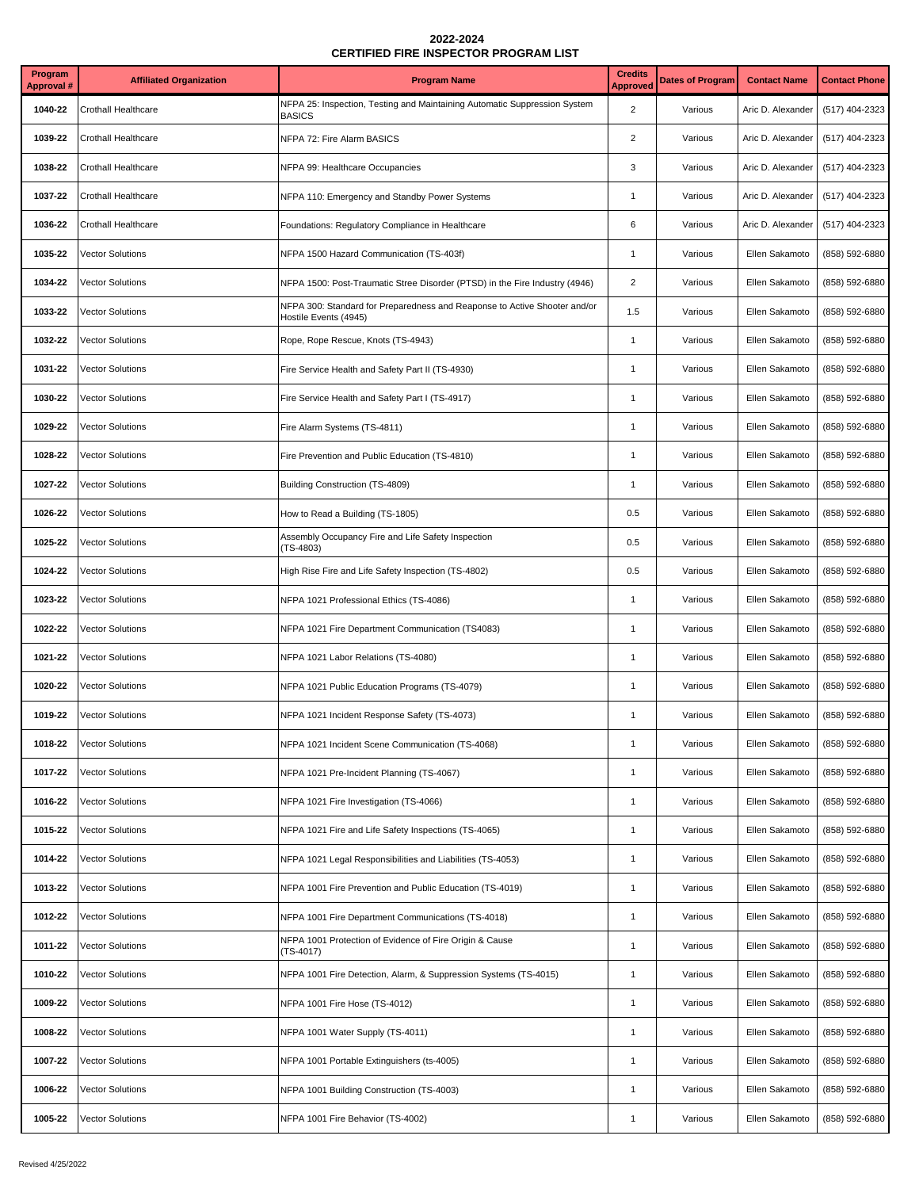| Program<br>Approval # | <b>Affiliated Organization</b> | <b>Program Name</b>                                                                                | <b>Credits</b><br><b>Approved</b> | <b>Dates of Program</b> | <b>Contact Name</b> | <b>Contact Phone</b> |
|-----------------------|--------------------------------|----------------------------------------------------------------------------------------------------|-----------------------------------|-------------------------|---------------------|----------------------|
| 1040-22               | <b>Crothall Healthcare</b>     | NFPA 25: Inspection, Testing and Maintaining Automatic Suppression System<br><b>BASICS</b>         | $\overline{2}$                    | Various                 | Aric D. Alexander   | (517) 404-2323       |
| 1039-22               | Crothall Healthcare            | NFPA 72: Fire Alarm BASICS                                                                         | $\overline{2}$                    | Various                 | Aric D. Alexander   | (517) 404-2323       |
| 1038-22               | Crothall Healthcare            | NFPA 99: Healthcare Occupancies                                                                    | 3                                 | Various                 | Aric D. Alexander   | (517) 404-2323       |
| 1037-22               | <b>Crothall Healthcare</b>     | NFPA 110: Emergency and Standby Power Systems                                                      | $\mathbf{1}$                      | Various                 | Aric D. Alexander   | (517) 404-2323       |
| 1036-22               | <b>Crothall Healthcare</b>     | Foundations: Regulatory Compliance in Healthcare                                                   | 6                                 | Various                 | Aric D. Alexander   | (517) 404-2323       |
| 1035-22               | <b>Vector Solutions</b>        | NFPA 1500 Hazard Communication (TS-403f)                                                           | $\mathbf{1}$                      | Various                 | Ellen Sakamoto      | (858) 592-6880       |
| 1034-22               | <b>Vector Solutions</b>        | NFPA 1500: Post-Traumatic Stree Disorder (PTSD) in the Fire Industry (4946)                        | $\overline{2}$                    | Various                 | Ellen Sakamoto      | (858) 592-6880       |
| 1033-22               | <b>Vector Solutions</b>        | NFPA 300: Standard for Preparedness and Reaponse to Active Shooter and/or<br>Hostile Events (4945) | 1.5                               | Various                 | Ellen Sakamoto      | (858) 592-6880       |
| 1032-22               | <b>Vector Solutions</b>        | Rope, Rope Rescue, Knots (TS-4943)                                                                 | $\mathbf{1}$                      | Various                 | Ellen Sakamoto      | (858) 592-6880       |
| 1031-22               | <b>Vector Solutions</b>        | Fire Service Health and Safety Part II (TS-4930)                                                   | $\mathbf{1}$                      | Various                 | Ellen Sakamoto      | (858) 592-6880       |
| 1030-22               | <b>Vector Solutions</b>        | Fire Service Health and Safety Part I (TS-4917)                                                    | $\mathbf{1}$                      | Various                 | Ellen Sakamoto      | (858) 592-6880       |
| 1029-22               | <b>Vector Solutions</b>        | Fire Alarm Systems (TS-4811)                                                                       | $\mathbf{1}$                      | Various                 | Ellen Sakamoto      | (858) 592-6880       |
| 1028-22               | <b>Vector Solutions</b>        | Fire Prevention and Public Education (TS-4810)                                                     | $\mathbf{1}$                      | Various                 | Ellen Sakamoto      | (858) 592-6880       |
| 1027-22               | <b>Vector Solutions</b>        | Building Construction (TS-4809)                                                                    | $\mathbf{1}$                      | Various                 | Ellen Sakamoto      | (858) 592-6880       |
| 1026-22               | <b>Vector Solutions</b>        | How to Read a Building (TS-1805)                                                                   | 0.5                               | Various                 | Ellen Sakamoto      | (858) 592-6880       |
| 1025-22               | <b>Vector Solutions</b>        | Assembly Occupancy Fire and Life Safety Inspection<br>$(TS-4803)$                                  | 0.5                               | Various                 | Ellen Sakamoto      | (858) 592-6880       |
| 1024-22               | <b>Vector Solutions</b>        | High Rise Fire and Life Safety Inspection (TS-4802)                                                | 0.5                               | Various                 | Ellen Sakamoto      | (858) 592-6880       |
| 1023-22               | <b>Vector Solutions</b>        | NFPA 1021 Professional Ethics (TS-4086)                                                            | $\mathbf{1}$                      | Various                 | Ellen Sakamoto      | (858) 592-6880       |
| 1022-22               | <b>Vector Solutions</b>        | NFPA 1021 Fire Department Communication (TS4083)                                                   | $\mathbf{1}$                      | Various                 | Ellen Sakamoto      | (858) 592-6880       |
| 1021-22               | <b>Vector Solutions</b>        | NFPA 1021 Labor Relations (TS-4080)                                                                | $\mathbf{1}$                      | Various                 | Ellen Sakamoto      | (858) 592-6880       |
| 1020-22               | <b>Vector Solutions</b>        | NFPA 1021 Public Education Programs (TS-4079)                                                      | $\mathbf{1}$                      | Various                 | Ellen Sakamoto      | (858) 592-6880       |
| 1019-22               | <b>Vector Solutions</b>        | NFPA 1021 Incident Response Safety (TS-4073)                                                       | $\mathbf{1}$                      | Various                 | Ellen Sakamoto      | (858) 592-6880       |
| 1018-22               | <b>Vector Solutions</b>        | NFPA 1021 Incident Scene Communication (TS-4068)                                                   | $\mathbf{1}$                      | Various                 | Ellen Sakamoto      | (858) 592-6880       |
| 1017-22               | <b>Vector Solutions</b>        | NFPA 1021 Pre-Incident Planning (TS-4067)                                                          | $\mathbf{1}$                      | Various                 | Ellen Sakamoto      | (858) 592-6880       |
| 1016-22               | <b>Vector Solutions</b>        | NFPA 1021 Fire Investigation (TS-4066)                                                             | $\mathbf{1}$                      | Various                 | Ellen Sakamoto      | (858) 592-6880       |
| 1015-22               | Vector Solutions               | NFPA 1021 Fire and Life Safety Inspections (TS-4065)                                               | $\mathbf{1}$                      | Various                 | Ellen Sakamoto      | (858) 592-6880       |
| 1014-22               | <b>Vector Solutions</b>        | NFPA 1021 Legal Responsibilities and Liabilities (TS-4053)                                         | $\mathbf{1}$                      | Various                 | Ellen Sakamoto      | (858) 592-6880       |
| 1013-22               | <b>Vector Solutions</b>        | NFPA 1001 Fire Prevention and Public Education (TS-4019)                                           | $\mathbf{1}$                      | Various                 | Ellen Sakamoto      | (858) 592-6880       |
| 1012-22               | <b>Vector Solutions</b>        | NFPA 1001 Fire Department Communications (TS-4018)                                                 | $\mathbf{1}$                      | Various                 | Ellen Sakamoto      | (858) 592-6880       |
| 1011-22               | <b>Vector Solutions</b>        | NFPA 1001 Protection of Evidence of Fire Origin & Cause<br>(TS-4017)                               | $\mathbf{1}$                      | Various                 | Ellen Sakamoto      | (858) 592-6880       |
| 1010-22               | Vector Solutions               | NFPA 1001 Fire Detection, Alarm, & Suppression Systems (TS-4015)                                   | $\mathbf{1}$                      | Various                 | Ellen Sakamoto      | (858) 592-6880       |
| 1009-22               | <b>Vector Solutions</b>        | NFPA 1001 Fire Hose (TS-4012)                                                                      | $\mathbf{1}$                      | Various                 | Ellen Sakamoto      | (858) 592-6880       |
| 1008-22               | <b>Vector Solutions</b>        | NFPA 1001 Water Supply (TS-4011)                                                                   | $\mathbf{1}$                      | Various                 | Ellen Sakamoto      | (858) 592-6880       |
| 1007-22               | <b>Vector Solutions</b>        | NFPA 1001 Portable Extinguishers (ts-4005)                                                         | $\mathbf{1}$                      | Various                 | Ellen Sakamoto      | (858) 592-6880       |
| 1006-22               | <b>Vector Solutions</b>        | NFPA 1001 Building Construction (TS-4003)                                                          | $\mathbf{1}$                      | Various                 | Ellen Sakamoto      | (858) 592-6880       |
| 1005-22               | <b>Vector Solutions</b>        | NFPA 1001 Fire Behavior (TS-4002)                                                                  | $\mathbf{1}$                      | Various                 | Ellen Sakamoto      | (858) 592-6880       |